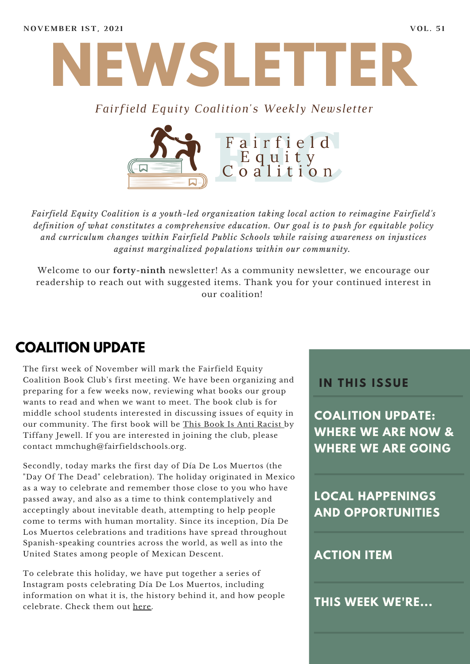

#### *Fairfield Equity Coalition's Weekly Newsletter*



*Fairfield Equity Coalition is a youth-led organization taking local action to reimagine Fairfield's definition of what constitutes a comprehensive education. Our goal is to push for equitable policy and curriculum changes within Fairfield Public Schools while raising awareness on injustices against marginalized populations within our community.*

Welcome to our **forty-ninth** newsletter! As a community newsletter, we encourage our readership to reach out with suggested items. Thank you for your continued interest in our coalition!

## **COALITION UPDATE**

The first week of November will mark the Fairfield Equity Coalition Book Club's first meeting. We have been organizing and preparing for a few weeks now, reviewing what books our group wants to read and when we want to meet. The book club is for middle school students interested in discussing issues of equity in our community. The first book will be This Book Is Anti Racist by Tiffany Jewell. If you are interested in joining the club, please contact mmchugh@fairfieldschools.org.

Secondly, today marks the first day of Día De Los Muertos (the "Day Of The Dead" celebration). The holiday originated in Mexico as a way to celebrate and remember those close to you who have passed away, and also as a time to think contemplatively and acceptingly about inevitable death, attempting to help people come to terms with human mortality. Since its inception, Día De Los Muertos celebrations and traditions have spread throughout Spanish-speaking countries across the world, as well as into the United States among people of Mexican Descent.

To celebrate this holiday, we have put together a series of Instagram posts celebrating Día De Los Muertos, including information on what it is, the history behind it, and how people celebrate. Check them out [here.](https://www.instagram.com/fairfieldequitycoalition/)

#### **I N THIS ISSUE**

**COALITION UPDATE: WHERE WE ARE NOW & WHERE WE ARE GOING**

**LOCAL HAPPENINGS AND OPPORTUNITIES**

#### **ACTION ITEM**

**THIS WEEK WE'RE...**